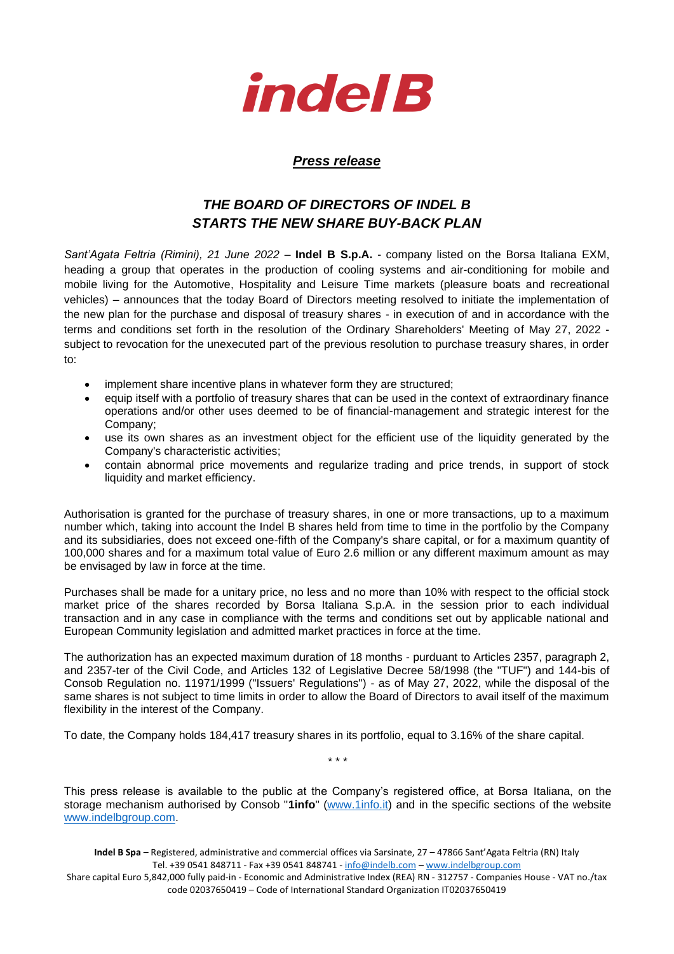

## *Press release*

## *THE BOARD OF DIRECTORS OF INDEL B STARTS THE NEW SHARE BUY-BACK PLAN*

*Sant'Agata Feltria (Rimini), 21 June 2022* – **Indel B S.p.A.** - company listed on the Borsa Italiana EXM, heading a group that operates in the production of cooling systems and air-conditioning for mobile and mobile living for the Automotive, Hospitality and Leisure Time markets (pleasure boats and recreational vehicles) – announces that the today Board of Directors meeting resolved to initiate the implementation of the new plan for the purchase and disposal of treasury shares - in execution of and in accordance with the terms and conditions set forth in the resolution of the Ordinary Shareholders' Meeting of May 27, 2022 subject to revocation for the unexecuted part of the previous resolution to purchase treasury shares, in order to:

- implement share incentive plans in whatever form they are structured;
- equip itself with a portfolio of treasury shares that can be used in the context of extraordinary finance operations and/or other uses deemed to be of financial-management and strategic interest for the Company;
- use its own shares as an investment object for the efficient use of the liquidity generated by the Company's characteristic activities;
- contain abnormal price movements and regularize trading and price trends, in support of stock liquidity and market efficiency.

Authorisation is granted for the purchase of treasury shares, in one or more transactions, up to a maximum number which, taking into account the Indel B shares held from time to time in the portfolio by the Company and its subsidiaries, does not exceed one-fifth of the Company's share capital, or for a maximum quantity of 100,000 shares and for a maximum total value of Euro 2.6 million or any different maximum amount as may be envisaged by law in force at the time.

Purchases shall be made for a unitary price, no less and no more than 10% with respect to the official stock market price of the shares recorded by Borsa Italiana S.p.A. in the session prior to each individual transaction and in any case in compliance with the terms and conditions set out by applicable national and European Community legislation and admitted market practices in force at the time.

The authorization has an expected maximum duration of 18 months - purduant to Articles 2357, paragraph 2, and 2357-ter of the Civil Code, and Articles 132 of Legislative Decree 58/1998 (the "TUF") and 144-bis of Consob Regulation no. 11971/1999 ("Issuers' Regulations") - as of May 27, 2022, while the disposal of the same shares is not subject to time limits in order to allow the Board of Directors to avail itself of the maximum flexibility in the interest of the Company.

To date, the Company holds 184,417 treasury shares in its portfolio, equal to 3.16% of the share capital.

This press release is available to the public at the Company's registered office, at Borsa Italiana, on the storage mechanism authorised by Consob "**1info**" [\(www.1info.it\)](file:///C:/Users/ddelietovollaro/AppData/Local/Microsoft/Windows/INetCache/Content.Outlook/T87B94UR/www.1info.it) and in the specific sections of the website [www.indelbgroup.com.](http://www.indelbgroup.com/)

\* \* \*

**Indel B Spa** – Registered, administrative and commercial offices via Sarsinate, 27 – 47866 Sant'Agata Feltria (RN) Italy Tel. +39 0541 848711 - Fax +39 0541 848741 - [info@indelb.com](mailto:info@indelb.com) – [www.indelbgroup.com](http://www.indelbgroup.com/)

Share capital Euro 5,842,000 fully paid-in - Economic and Administrative Index (REA) RN - 312757 - Companies House - VAT no./tax code 02037650419 – Code of International Standard Organization IT02037650419